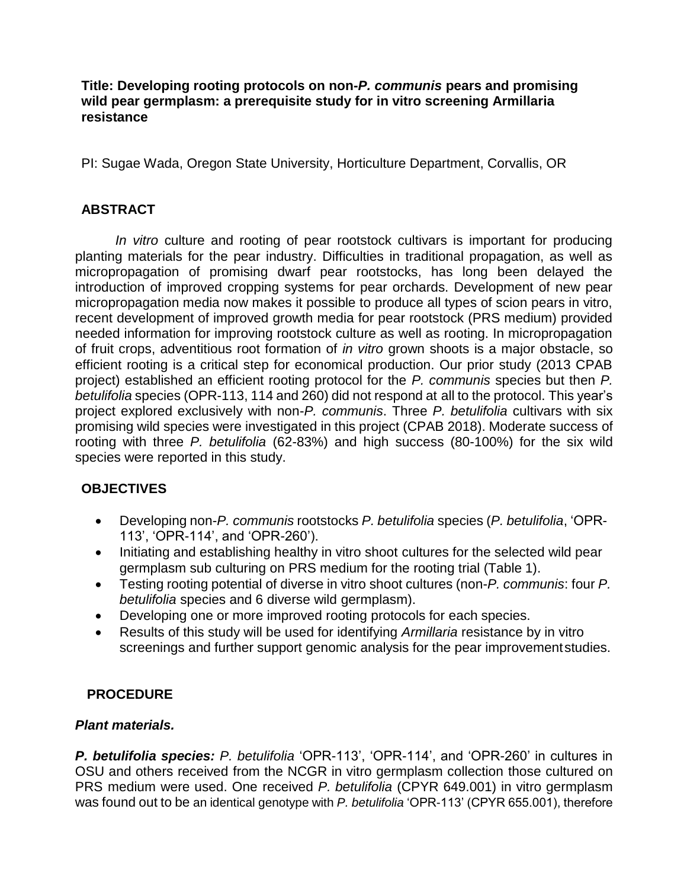#### **Title: Developing rooting protocols on non-***P. communis* **pears and promising wild pear germplasm: a prerequisite study for in vitro screening Armillaria resistance**

PI: Sugae Wada, Oregon State University, Horticulture Department, Corvallis, OR

# **ABSTRACT**

*In vitro* culture and rooting of pear rootstock cultivars is important for producing planting materials for the pear industry. Difficulties in traditional propagation, as well as micropropagation of promising dwarf pear rootstocks, has long been delayed the introduction of improved cropping systems for pear orchards. Development of new pear micropropagation media now makes it possible to produce all types of scion pears in vitro, recent development of improved growth media for pear rootstock (PRS medium) provided needed information for improving rootstock culture as well as rooting. In micropropagation of fruit crops, adventitious root formation of *in vitro* grown shoots is a major obstacle, so efficient rooting is a critical step for economical production. Our prior study (2013 CPAB project) established an efficient rooting protocol for the *P. communis* species but then *P. betulifolia* species (OPR-113, 114 and 260) did not respond at all to the protocol. This year's project explored exclusively with non-*P. communis*. Three *P. betulifolia* cultivars with six promising wild species were investigated in this project (CPAB 2018). Moderate success of rooting with three *P. betulifolia* (62-83%) and high success (80-100%) for the six wild species were reported in this study.

# **OBJECTIVES**

- Developing non-*P. communis* rootstocks *P. betulifolia* species (*P. betulifolia*, 'OPR-113', 'OPR-114', and 'OPR-260').
- Initiating and establishing healthy in vitro shoot cultures for the selected wild pear germplasm sub culturing on PRS medium for the rooting trial (Table 1).
- Testing rooting potential of diverse in vitro shoot cultures (non-*P. communis*: four *P. betulifolia* species and 6 diverse wild germplasm).
- Developing one or more improved rooting protocols for each species.
- Results of this study will be used for identifying *Armillaria* resistance by in vitro screenings and further support genomic analysis for the pear improvementstudies.

# **PROCEDURE**

#### *Plant materials.*

*P. betulifolia species: P. betulifolia* 'OPR-113', 'OPR-114', and 'OPR-260' in cultures in OSU and others received from the NCGR in vitro germplasm collection those cultured on PRS medium were used. One received *P. betulifolia* (CPYR 649.001) in vitro germplasm was found out to be an identical genotype with *P. betulifolia* 'OPR-113' (CPYR 655.001), therefore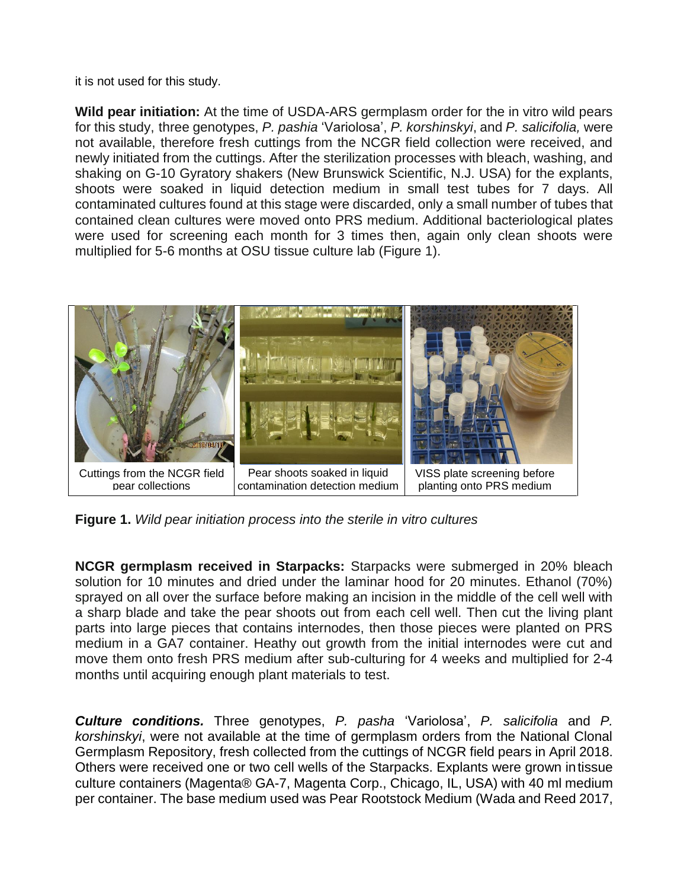it is not used for this study.

**Wild pear initiation:** At the time of USDA-ARS germplasm order for the in vitro wild pears for this study, three genotypes, *P. pashia* 'Variolosa', *P. korshinskyi*, and *P. salicifolia,* were not available, therefore fresh cuttings from the NCGR field collection were received, and newly initiated from the cuttings. After the sterilization processes with bleach, washing, and shaking on G-10 Gyratory shakers (New Brunswick Scientific, N.J. USA) for the explants, shoots were soaked in liquid detection medium in small test tubes for 7 days. All contaminated cultures found at this stage were discarded, only a small number of tubes that contained clean cultures were moved onto PRS medium. Additional bacteriological plates were used for screening each month for 3 times then, again only clean shoots were multiplied for 5-6 months at OSU tissue culture lab (Figure 1).



**Figure 1.** *Wild pear initiation process into the sterile in vitro cultures*

**NCGR germplasm received in Starpacks:** Starpacks were submerged in 20% bleach solution for 10 minutes and dried under the laminar hood for 20 minutes. Ethanol (70%) sprayed on all over the surface before making an incision in the middle of the cell well with a sharp blade and take the pear shoots out from each cell well. Then cut the living plant parts into large pieces that contains internodes, then those pieces were planted on PRS medium in a GA7 container. Heathy out growth from the initial internodes were cut and move them onto fresh PRS medium after sub-culturing for 4 weeks and multiplied for 2-4 months until acquiring enough plant materials to test.

*Culture conditions.* Three genotypes, *P. pasha* 'Variolosa', *P. salicifolia* and *P. korshinskyi*, were not available at the time of germplasm orders from the National Clonal Germplasm Repository, fresh collected from the cuttings of NCGR field pears in April 2018. Others were received one or two cell wells of the Starpacks. Explants were grown intissue culture containers (Magenta® GA-7, Magenta Corp., Chicago, IL, USA) with 40 ml medium per container. The base medium used was Pear Rootstock Medium (Wada and Reed 2017,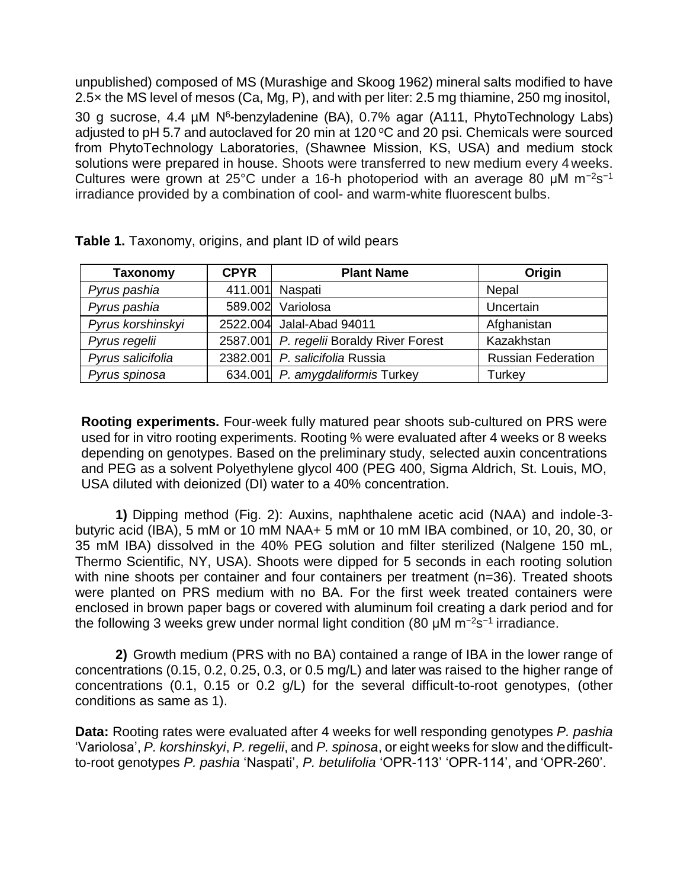unpublished) composed of MS (Murashige and Skoog 1962) mineral salts modified to have 2.5× the MS level of mesos (Ca, Mg, P), and with per liter: 2.5 mg thiamine, 250 mg inositol,

30 g sucrose, 4.4 µM N<sup>6</sup>-benzyladenine (BA), 0.7% agar (A111, PhytoTechnology Labs) adjusted to pH 5.7 and autoclaved for 20 min at 120  $\degree$ C and 20 psi. Chemicals were sourced from PhytoTechnology Laboratories, (Shawnee Mission, KS, USA) and medium stock solutions were prepared in house. Shoots were transferred to new medium every 4weeks. Cultures were grown at 25°C under a 16-h photoperiod with an average 80 µM m<sup>-2</sup>s<sup>-1</sup> irradiance provided by a combination of cool- and warm-white fluorescent bulbs.

| <b>Taxonomy</b>   | <b>CPYR</b> | <b>Plant Name</b>                        | Origin                    |
|-------------------|-------------|------------------------------------------|---------------------------|
| Pyrus pashia      | 411.001     | Naspati                                  | Nepal                     |
| Pyrus pashia      |             | 589.002 Variolosa                        | Uncertain                 |
| Pyrus korshinskyi |             | 2522.004 Jalal-Abad 94011                | Afghanistan               |
| Pyrus regelii     |             | 2587.001 P. regelii Boraldy River Forest | Kazakhstan                |
| Pyrus salicifolia |             | 2382.001 P. salicifolia Russia           | <b>Russian Federation</b> |
| Pyrus spinosa     |             | 634.001 P. amygdaliformis Turkey         | Turkey                    |

**Table 1.** Taxonomy, origins, and plant ID of wild pears

**Rooting experiments.** Four-week fully matured pear shoots sub-cultured on PRS were used for in vitro rooting experiments. Rooting % were evaluated after 4 weeks or 8 weeks depending on genotypes. Based on the preliminary study, selected auxin concentrations and PEG as a solvent Polyethylene glycol 400 (PEG 400, Sigma Aldrich, St. Louis, MO, USA diluted with deionized (DI) water to a 40% concentration.

**1)** Dipping method (Fig. 2): Auxins, naphthalene acetic acid (NAA) and indole-3 butyric acid (IBA), 5 mM or 10 mM NAA+ 5 mM or 10 mM IBA combined, or 10, 20, 30, or 35 mM IBA) dissolved in the 40% PEG solution and filter sterilized (Nalgene 150 mL, Thermo Scientific, NY, USA). Shoots were dipped for 5 seconds in each rooting solution with nine shoots per container and four containers per treatment (n=36). Treated shoots were planted on PRS medium with no BA. For the first week treated containers were enclosed in brown paper bags or covered with aluminum foil creating a dark period and for the following 3 weeks grew under normal light condition (80 μM m<sup>-2</sup>s<sup>-1</sup> irradiance.

**2)** Growth medium (PRS with no BA) contained a range of IBA in the lower range of concentrations (0.15, 0.2, 0.25, 0.3, or 0.5 mg/L) and later was raised to the higher range of concentrations (0.1, 0.15 or 0.2 g/L) for the several difficult-to-root genotypes, (other conditions as same as 1).

**Data:** Rooting rates were evaluated after 4 weeks for well responding genotypes *P. pashia*  'Variolosa', *P. korshinskyi*, *P. regelii*, and *P. spinosa*, or eight weeks for slow and thedifficultto-root genotypes *P. pashia* 'Naspati', *P. betulifolia* 'OPR-113' 'OPR-114', and 'OPR-260'.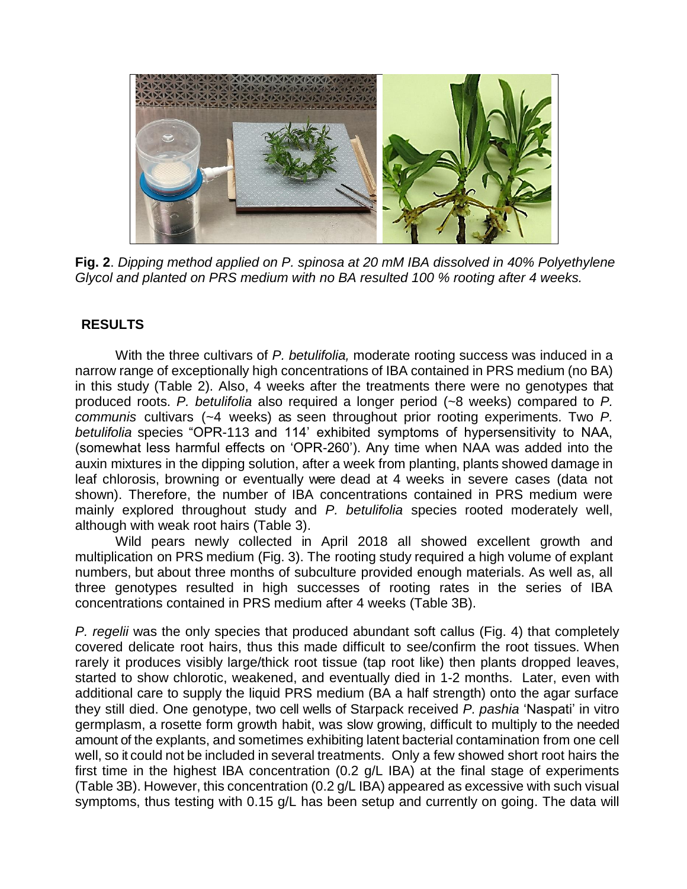

**Fig. 2**. *Dipping method applied on P. spinosa at 20 mM IBA dissolved in 40% Polyethylene Glycol and planted on PRS medium with no BA resulted 100 % rooting after 4 weeks.*

### **RESULTS**

With the three cultivars of *P. betulifolia,* moderate rooting success was induced in a narrow range of exceptionally high concentrations of IBA contained in PRS medium (no BA) in this study (Table 2). Also, 4 weeks after the treatments there were no genotypes that produced roots. *P. betulifolia* also required a longer period (~8 weeks) compared to *P. communis* cultivars (~4 weeks) as seen throughout prior rooting experiments. Two *P. betulifolia* species "OPR-113 and 114' exhibited symptoms of hypersensitivity to NAA, (somewhat less harmful effects on 'OPR-260'). Any time when NAA was added into the auxin mixtures in the dipping solution, after a week from planting, plants showed damage in leaf chlorosis, browning or eventually were dead at 4 weeks in severe cases (data not shown). Therefore, the number of IBA concentrations contained in PRS medium were mainly explored throughout study and *P. betulifolia* species rooted moderately well, although with weak root hairs (Table 3).

Wild pears newly collected in April 2018 all showed excellent growth and multiplication on PRS medium (Fig. 3). The rooting study required a high volume of explant numbers, but about three months of subculture provided enough materials. As well as, all three genotypes resulted in high successes of rooting rates in the series of IBA concentrations contained in PRS medium after 4 weeks (Table 3B).

*P. regelii* was the only species that produced abundant soft callus (Fig. 4) that completely covered delicate root hairs, thus this made difficult to see/confirm the root tissues. When rarely it produces visibly large/thick root tissue (tap root like) then plants dropped leaves, started to show chlorotic, weakened, and eventually died in 1-2 months. Later, even with additional care to supply the liquid PRS medium (BA a half strength) onto the agar surface they still died. One genotype, two cell wells of Starpack received *P. pashia* 'Naspati' in vitro germplasm, a rosette form growth habit, was slow growing, difficult to multiply to the needed amount of the explants, and sometimes exhibiting latent bacterial contamination from one cell well, so it could not be included in several treatments. Only a few showed short root hairs the first time in the highest IBA concentration (0.2 g/L IBA) at the final stage of experiments (Table 3B). However, this concentration (0.2 g/L IBA) appeared as excessive with such visual symptoms, thus testing with 0.15 g/L has been setup and currently on going. The data will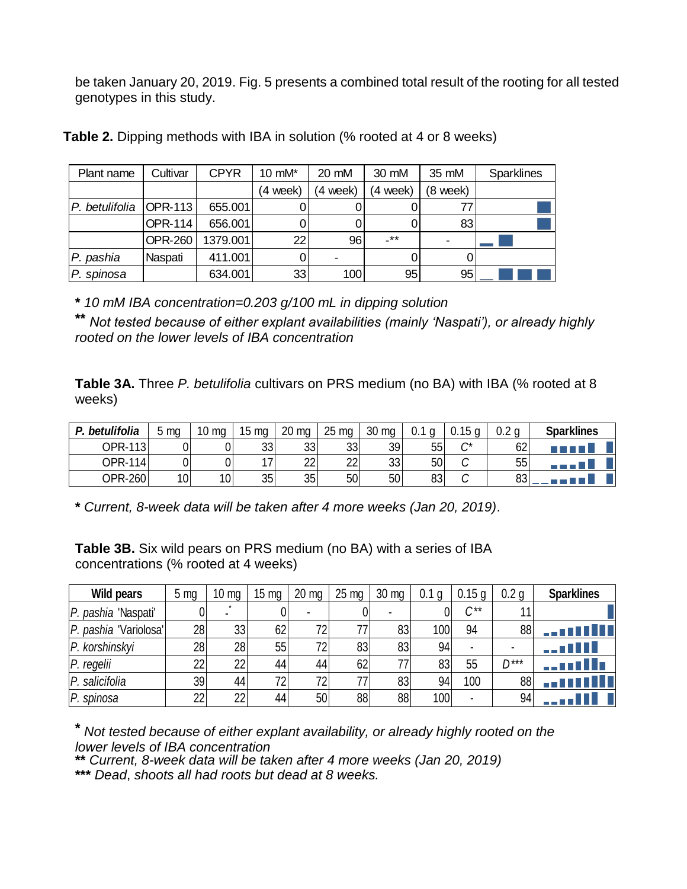be taken January 20, 2019. Fig. 5 presents a combined total result of the rooting for all tested genotypes in this study.

| Table 2. Dipping methods with IBA in solution (% rooted at 4 or 8 weeks) |                |             |          |         |          |          |                   |  |  |  |
|--------------------------------------------------------------------------|----------------|-------------|----------|---------|----------|----------|-------------------|--|--|--|
| Plant name                                                               | Cultivar       | <b>CPYR</b> | 10 mM*   | 20 mM   | 30 mM    | 35 mM    | <b>Sparklines</b> |  |  |  |
|                                                                          |                |             | (4 week) | 4 week) | (4 week) | (8 week) |                   |  |  |  |
| P. betulifolia                                                           | <b>OPR-113</b> | 655.001     | Ω        |         |          |          |                   |  |  |  |
|                                                                          | <b>OPR-114</b> | 656.001     | 0        |         |          | 83       |                   |  |  |  |
|                                                                          | <b>OPR-260</b> | 1379.001    | 22       | 96      | -**      |          |                   |  |  |  |
| P. pashia                                                                | Naspati        | 411.001     | 0        |         |          |          |                   |  |  |  |
| P. spinosa                                                               |                | 634.001     | 33       | 100     | 95       | 95       |                   |  |  |  |
|                                                                          |                |             |          |         |          |          |                   |  |  |  |

**\*** *10 mM IBA concentration=0.203 g/100 mL in dipping solution*

**\*\*** *Not tested because of either explant availabilities (mainly 'Naspati'), or already highly rooted on the lower levels of IBA concentration*

**Table 3A.** Three *P. betulifolia* cultivars on PRS medium (no BA) with IBA (% rooted at 8 weeks) **Fable 3A.** Three *P. betulifolia* cultivars on PRS medium (no BA) with IBA (% rooted at 8 weeks)<br> *P. betulifolia* 5 mg 10 mg 15 mg 20 mg 25 mg 30 mg 0.1 g 0.15 g 0.2 g **Sparklines**<br>
OPR-113 0 0 33 33 33 33 39 55 C\* 62

| betulifolia<br>D | ma              | 10<br>ma        | 15<br>mg                 | 20 <sub>mg</sub> | 25<br>ma        | 30 mg | 0.1 | 0.15g   | $\Omega$ | <b>Sparklines</b> |
|------------------|-----------------|-----------------|--------------------------|------------------|-----------------|-------|-----|---------|----------|-------------------|
| OPR-113l         |                 |                 | 33                       | 33               | 33              | 39    | 55  | ⌒∗<br>◡ | 62       | T F F F F         |
| <b>OPR-114</b>   |                 |                 | $\overline{\phantom{a}}$ | າາ<br>∠∠         | っっ<br>∠∠        | 33    | 50  | v       | 55       | .                 |
| OPR-260          | 10 <sub>l</sub> | 10 <sub>1</sub> | 35                       | 35               | 50 <sub>1</sub> | 50    | 83  | ⌒<br>◡  | റാ<br>υυ |                   |

**\*** *Current, 8-week data will be taken after 4 more weeks (Jan 20, 2019)*.

**Table 3B.** Six wild pears on PRS medium (no BA) with a series of IBA concentrations (% rooted at 4 weeks)

| Table 3B. Six wild pears on PRS medium (no BA) with a series of IBA<br>concentrations (% rooted at 4 weeks) |                 |                 |                 |                 |                 |                 |       |          |                  |                   |
|-------------------------------------------------------------------------------------------------------------|-----------------|-----------------|-----------------|-----------------|-----------------|-----------------|-------|----------|------------------|-------------------|
| Wild pears                                                                                                  | 5 <sub>mq</sub> | $10 \text{ mg}$ | $15 \text{ mg}$ | $20 \text{ mg}$ | $25 \text{ mg}$ | $30 \text{ mg}$ | 0.1 g | 0.15 g   | 0.2 <sub>q</sub> | <b>Sparklines</b> |
| P. pashia 'Naspati'                                                                                         |                 |                 |                 |                 | 0               |                 |       | $C^{**}$ |                  |                   |
| P. pashia 'Variolosa'                                                                                       | 28              | 33              | 62              | 72              | 77              | 83              | 100   | 94       | 88               | <u></u>           |
| P. korshinskyi                                                                                              | 28              | 28              | 55              | 72              | 83              | 83              | 94    |          |                  | .                 |
| P. regelii                                                                                                  | 22              | 22              | 44              | 44              | 62              | 77              | 83    | 55       | $D***$           | . 1 I I s         |
| P. salicifolia                                                                                              | 39              | 44              | 72              | 72              | 77              | 83              | 94    | 100      | 88               |                   |
| P. spinosa                                                                                                  | 22              | 22              | 44              | 50              | 88              | 88              | 100   |          | 94               |                   |
|                                                                                                             |                 |                 |                 |                 |                 |                 |       |          |                  |                   |

**\*** *Not tested because of either explant availability, or already highly rooted on the lower levels of IBA concentration*

**\*\*** *Current, 8-week data will be taken after 4 more weeks (Jan 20, 2019)*

**\*\*\*** *Dead*, *shoots all had roots but dead at 8 weeks.*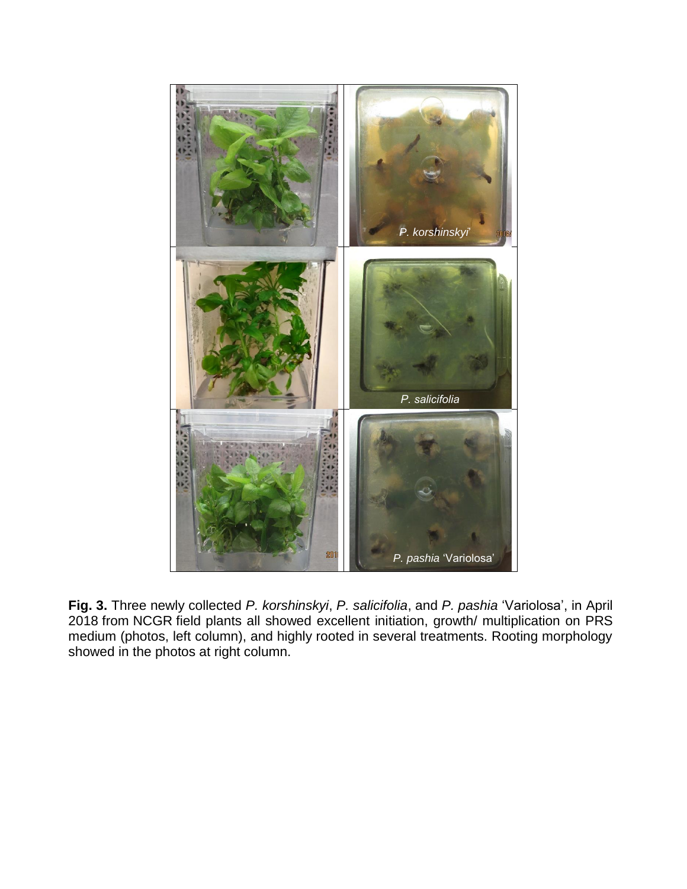

**Fig. 3.** Three newly collected *P. korshinskyi*, *P. salicifolia*, and *P. pashia* 'Variolosa', in April 2018 from NCGR field plants all showed excellent initiation, growth/ multiplication on PRS medium (photos, left column), and highly rooted in several treatments. Rooting morphology showed in the photos at right column.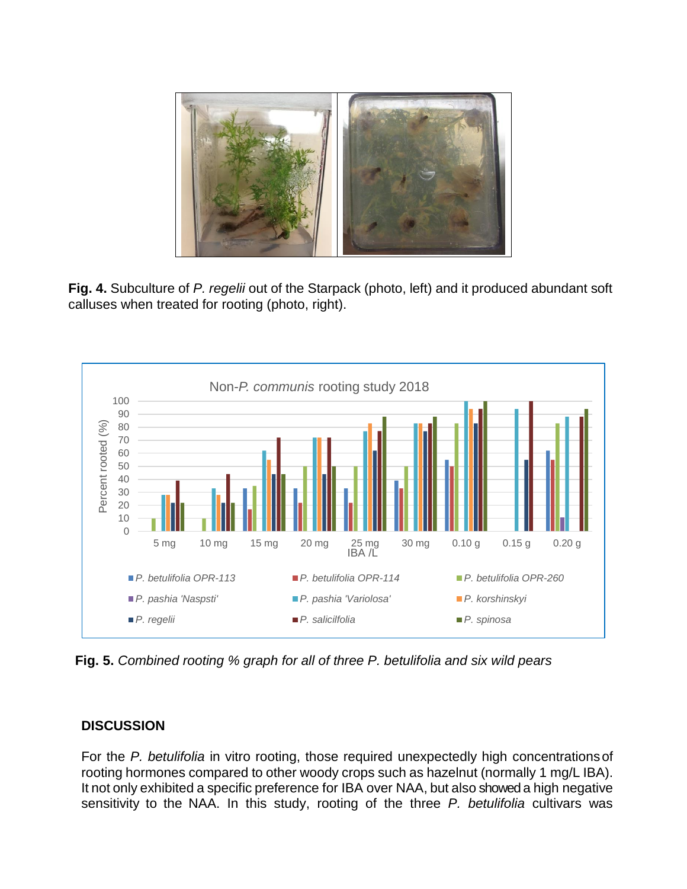

**Fig. 4.** Subculture of *P. regelii* out of the Starpack (photo, left) and it produced abundant soft calluses when treated for rooting (photo, right).



**Fig. 5.** *Combined rooting % graph for all of three P. betulifolia and six wild pears*

#### **DISCUSSION**

For the *P. betulifolia* in vitro rooting, those required unexpectedly high concentrationsof rooting hormones compared to other woody crops such as hazelnut (normally 1 mg/L IBA). It not only exhibited a specific preference for IBA over NAA, but also showed a high negative sensitivity to the NAA. In this study, rooting of the three *P. betulifolia* cultivars was